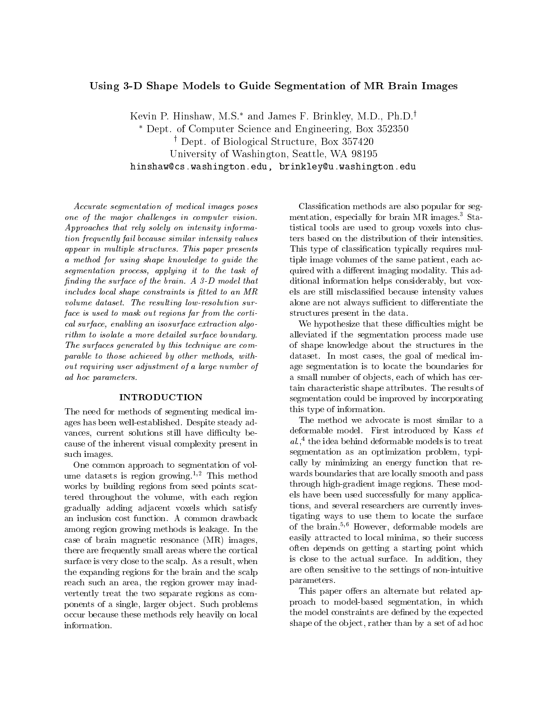# Using 3-D Shape Models to Guide Segmentation of MR Brain Images

Kevin P. Hinshaw, M.S.<sup>\*</sup> and James F. Brinkley, M.D., Ph.D.<sup>†</sup> Dept. of Computer Science and Engineering, Box 352350 <sup>y</sup> Dept. of Biological Structure, Box 357420 University of Washington, Seattle, WA 98195 hinshaw@cs.washington.edu, brinkley@u.washington.edu

Accurate segmentation of medical images poses one of the major challenges in computer vision. Approaches that rely solely on intensity information frequently fail because similar intensity values appear in multiple structures. This paper presents a method for using shape knowledge to quide the segmentation process, applying it to the task of nding the surface of the brain. A 3-D model that includes local shape constraints is fitted to an MR volume dataset. The resulting low-resolution surface is used to mask out regions far from the cortical surface, enabling an isosurface extraction algorithm to isolate a more detailed surface boundary. The surfaces generated by this technique are comparable to those achieved by other methods, without requiring user adjustment of a large number of ad hoc parameters.

# **INTRODUCTION**

The need for methods of segmenting medical images has been well-established. Despite steady ad vances, current solutions still have difficulty because of the inherent visual complexity present in such images.

One common approach to segmentation of volume datasets is region growing.<sup>1,2</sup> This method works by building regions from seed points scattered throughout the volume, with each region gradually adding adjacent voxels which satisfy an inclusion cost function. A common drawback among region growing methods is leakage. In the case of brain magnetic resonance (MR) images, there are frequently small areas where the cortical surface is very close to the scalp. As a result, when the expanding regions for the brain and the scalp reach such an area, the region grower may inad vertently treat the two separate regions as components of a single, larger ob ject. Such problems occur because these methods rely heavily on local information.

Classication methods are also popular for segmentation, especially for brain MR images.<sup>3</sup> Statistical tools are used to group voxels into clusters based on the distribution of their intensities. This type of classication typically requires multiple image volumes of the same patient, each acquired with a different imaging modality. This additional information helps considerably, but vox els are still misclassied because intensity values alone are not always sufficient to differentiate the structures present in the data.

We hypothesize that these difficulties might be alleviated if the segmentation process made use of shape knowledge about the structures in the dataset. In most cases, the goal of medical image segmentation is to locate the boundaries for a small number of ob jects, each of which has certain characteristic shape attributes. The results of segmentation could be improved by incorporating this type of information.

The method we advocate is most similar to a deformable model. First introduced by Kass et al.,• the idea behind deformable models is to treat segmentation as an optimization problem, typically by minimizing an energy function that re wards boundaries that are locally smooth and pass through high-gradient image regions. These models have been used successfully for many applications, and several researchers are currently investigating ways to use them to locate the surface of the brain.5,6 However, deformable models are easily attracted to local minima, so their success often depends on getting a starting point which is close to the actual surface. In addition, they are often sensitive to the settings of non-intuitive parameters.

This paper offers an alternate but related approach to model-based segmentation, in which the model constraints are defined by the expected shape of the object, rather than by a set of ad hoc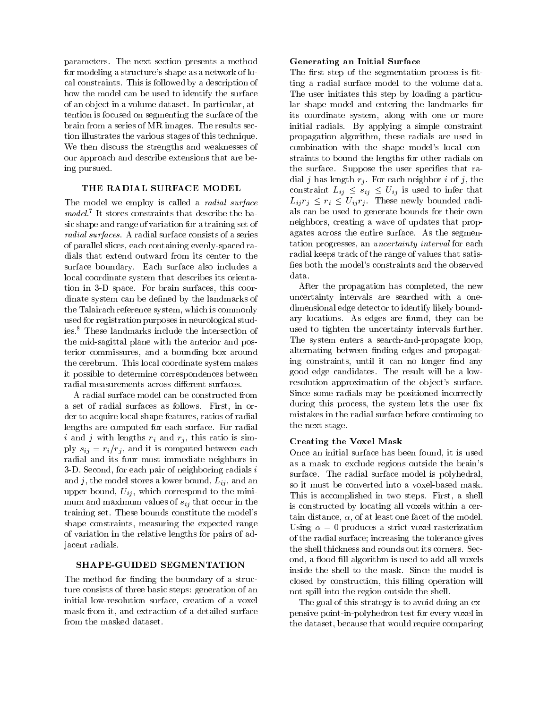parameters. The next section presents a method for modeling a structure's shape as a network of local constraints. This is followed by a description of how the model can be used to identify the surface of an ob ject in a volume dataset. In particular, attention is focused on segmenting the surface of the brain from a series of MR images. The results section illustrates the various stages of this technique. We then discuss the strengths and weaknesses of our approach and describe extensions that are being pursued.

### THE RADIAL SURFACE MODEL

The model we employ is called a *radial surface*  ${m}{o}ae$ l. It stores constraints that describe the basic shape and range of variation for a training set of radial surfaces. A radial surface consists of a series of parallel slices, each containing evenly-spaced radials that extend outward from its center to the surface boundary. Each surface also includes a local coordinate system that describes its orientation in 3-D space. For brain surfaces, this coordinate system can be defined by the landmarks of the Talairach reference system, which is commonly used for registration purposes in neurological studies.<sup>8</sup> These landmarks include the intersection of the mid-sagittal plane with the anterior and posterior commissures, and a bounding box around the cerebrum. This local coordinate system makes it possible to determine correspondences between radial measurements across different surfaces.

A radial surface model can be constructed from a set of radial surfaces as follows. First, in order to acquire local shape features, ratios of radial lengths are computed for each surface. For radial i and j with lengths  $r_i$  and  $r_j$ , this ratio is simply  $s_{ij} = r_i/r_j$ , and it is computed between each radial and its four most immediate neighbors in 3-D. Second, for each pair of neighboring radials  $i$ and j, the model stores a lower bound,  $L_{ij}$ , and an upper bound,  $U_{ij}$ , which correspond to the minimum and maximum values of  $s_{ij}$  that occur in the training set. These bounds constitute the model's shape constraints, measuring the expected range of variation in the relative lengths for pairs of adjacent radials.

# SHAPE-GUIDED SEGMENTATION

The method for finding the boundary of a structure consists of three basic steps: generation of an initial low-resolution surface, creation of a voxel mask from it, and extraction of a detailed surface from the masked dataset.

### Generating an Initial Surface

The first step of the segmentation process is fitting a radial surface model to the volume data. The user initiates this step by loading a particular shape model and entering the landmarks for its coordinate system, along with one or more initial radials. By applying a simple constraint propagation algorithm, these radials are used in combination with the shape model's local constraints to bound the lengths for other radials on the surface. Suppose the user specifies that radial j has length  $r_i$ . For each neighbor i of j, the constraint  $\mu_{ij} = \mu_{ij} = \mu_{ij}$  is used to infer the inferred that  $\mathcal{L}_i$ ij rij rieder en waardelij romane radioals can be used to generate bounds for their own neighbors, creating a wave of updates that propagates across the entire surface. As the segmentation progresses, an uncertainty interval for each radial keeps track of the range of values that satis fies both the model's constraints and the observed data.

After the propagation has completed, the new uncertainty intervals are searched with a onedimensional edge detector to identify likely boundary locations. As edges are found, they can be used to tighten the uncertainty intervals further. The system enters a search-and-propagate loop, alternating between finding edges and propagating constraints, until it can no longer find any good edge candidates. The result will be a low resolution approximation of the object's surface. Since some radials may be positioned incorrectly during this process, the system lets the user fix mistakes in the radial surface before continuing to the next stage.

# Creating the Voxel Mask

Once an initial surface has been found, it is used as a mask to exclude regions outside the brain's surface. The radial surface model is polyhedral, so it must be converted into a voxel-based mask. This is accomplished in two steps. First, a shell is constructed by locating all voxels within a certain distance,  $\alpha$ , of at least one facet of the model. Using  $\alpha = 0$  produces a strict voxel rasterization of the radial surface; increasing the tolerance gives the shell thickness and rounds out its corners. Second, a flood fill algorithm is used to add all voxels inside the shell to the mask. Since the model is closed by construction, this filling operation will not spill into the region outside the shell.

The goal of this strategy is to avoid doing an expensive point-in-polyhedron test for every voxel in the dataset, because that would require comparing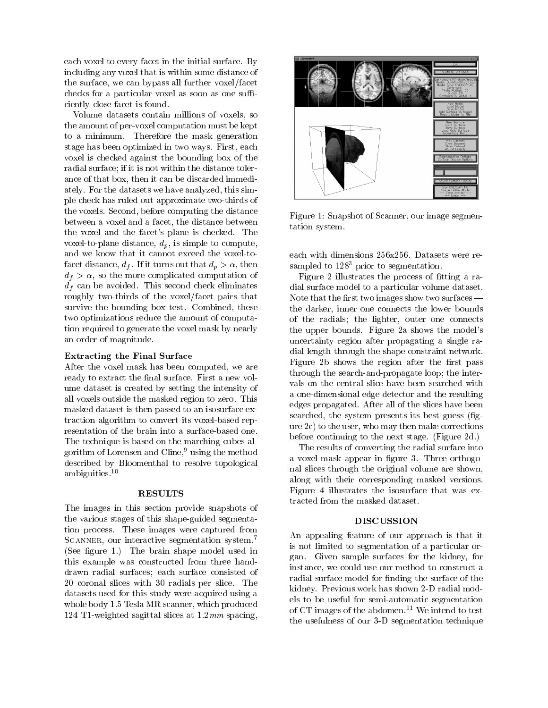each voxel to every facet in the initial surface. By including any voxel that is within some distance of the surface, we can bypass all further voxel/facet checks for a particular voxel as soon as one sufficiently close facet is found.

Volume datasets contain millions of voxels, so the amount of per-voxel computation must be kept to a minimum. Therefore the mask generation stage has been optimized in two ways. First, each voxel is checked against the bounding box of the radial surface; if it is not within the distance tolerance of that box, then it can be discarded immediately. For the datasets we have analyzed, this simple check has ruled out approximate two-thirds of the voxels. Second, before computing the distance between a voxel and a facet, the distance between the voxel and the facet's plane is checked. The voxel-to-plane distance,  $d_p$ , is simple to compute, and we know that it cannot exceed the voxel-tofacet distance,  $d_f$ . If it turns out that  $d_p > \alpha$ , then  $d_f > \alpha$ , so the more complicated computation of  $d_f$  can be avoided. This second check eliminates roughly two-thirds of the voxel/facet pairs that survive the bounding box test. Combined, these two optimizations reduce the amount of computation required to generate the voxel mask by nearly an order of magnitude.

#### Extracting the Final Surface

After the voxel mask has been computed, we are ready to extract the final surface. First a new volume dataset is created by setting the intensity of all voxels outside the masked region to zero. This masked dataset is then passed to an isosurface extraction algorithm to convert its voxel-based representation of the brain into a surface-based one. The technique is based on the marching cubes algorithm of Lorensen and Cline,<sup>9</sup> using the method described by Bloomenthal to resolve topological ambiguities.10

#### **RESULTS**

The images in this section provide snapshots of the various stages of this shape-guided segmentation process. These images were captured from SCANNER, our interactive segmentation system.<sup>7</sup> (See figure 1.) The brain shape model used in this example was constructed from three handdrawn radial surfaces; each surface consisted of 20 coronal slices with 30 radials per slice. The datasets used for this study were acquired using a whole body 1.5 Tesla MR scanner, which produced 124 T1-weighted sagittal slices at  $1.2 \, mm$  spacing,



Figure 1: Snapshot of Scanner, our image segmentation system.

each with dimensions 256x256. Datasets were resampled to  $128<sup>3</sup>$  prior to segmentation.

Figure 2 illustrates the process of fitting a radial surface model to a particular volume dataset. Note that the first two images show two surfaces  $$ the darker, inner one connects the lower bounds of the radials; the lighter, outer one connects the upper bounds. Figure 2a shows the model's uncertainty region after propagating a single radial length through the shape constraint network. Figure 2b shows the region after the first pass through the search-and-propagate loop; the inter vals on the central slice have been searched with a one-dimensional edge detector and the resulting edges propagated. After all of the slices have been searched, the system presents its best guess (figure 2c) to the user, who may then make corrections before continuing to the next stage. (Figure 2d.)

The results of converting the radial surface into a voxel mask appear in figure 3. Three orthogonal slices through the original volume are shown, along with their corresponding masked versions. Figure 4 illustrates the isosurface that was extracted from the masked dataset.

# DISCUSSION

An appealing feature of our approach is that it is not limited to segmentation of a particular organ. Given sample surfaces for the kidney, for instance, we could use our method to construct a radial surface model for finding the surface of the kidney. Previous work has shown 2-D radial models to be useful for semi-automatic segmentation of CT images of the abdomen.<sup>11</sup> We intend to test the usefulness of our 3-D segmentation technique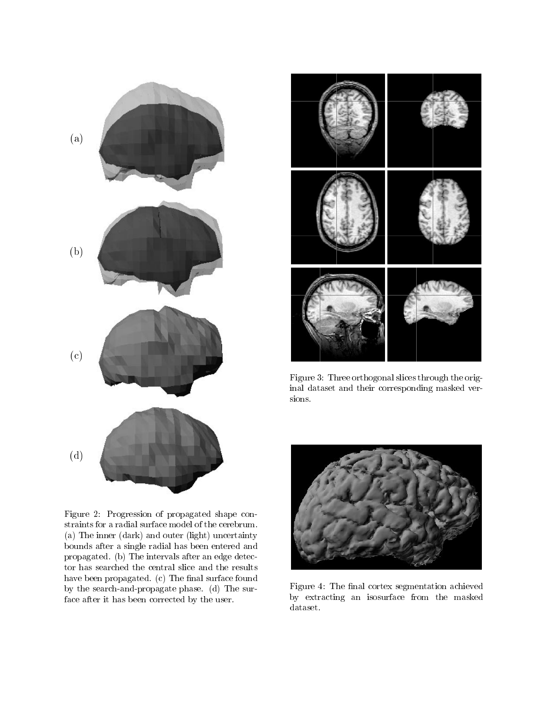



Figure 3: Three orthogonal slices through the original dataset and their corresponding masked versions.

Figure 2: Progression of propagated shape constraints for a radial surface model of the cerebrum. (a) The inner (dark) and outer (light) uncertainty bounds after a single radial has been entered and propagated. (b) The intervals after an edge detector has searched the central slice and the results have been propagated.  $(c)$  The final surface found by the search-and-propagate phase. (d) The surface after it has been corrected by the user.



Figure 4: The final cortex segmentation achieved by extracting an isosurface from the masked dataset.